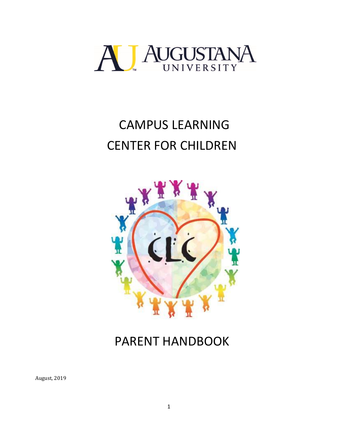

# CAMPUS LEARNING CENTER FOR CHILDREN



# PARENT HANDBOOK

August, 2019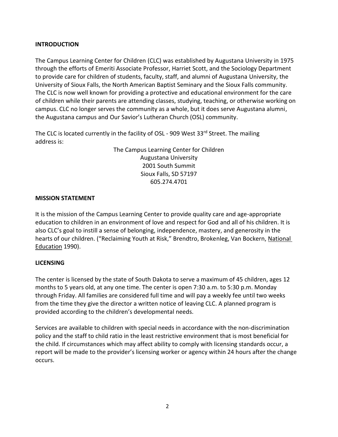#### **INTRODUCTION**

The Campus Learning Center for Children (CLC) was established by Augustana University in 1975 through the efforts of Emeriti Associate Professor, Harriet Scott, and the Sociology Department to provide care for children of students, faculty, staff, and alumni of Augustana University, the University of Sioux Falls, the North American Baptist Seminary and the Sioux Falls community. The CLC is now well known for providing a protective and educational environment for the care of children while their parents are attending classes, studying, teaching, or otherwise working on campus. CLC no longer serves the community as a whole, but it does serve Augustana alumni, the Augustana campus and Our Savior's Lutheran Church (OSL) community.

The CLC is located currently in the facility of OSL - 909 West 33rd Street. The mailing address is:

> The Campus Learning Center for Children Augustana University 2001 South Summit Sioux Falls, SD 57197 605.274.4701

#### **MISSION STATEMENT**

It is the mission of the Campus Learning Center to provide quality care and age-appropriate education to children in an environment of love and respect for God and all of his children. It is also CLC's goal to instill a sense of belonging, independence, mastery, and generosity in the hearts of our children. ("Reclaiming Youth at Risk," Brendtro, Brokenleg, Van Bockern, National Education 1990).

#### **LICENSING**

The center is licensed by the state of South Dakota to serve a maximum of 45 children, ages 12 months to 5 years old, at any one time. The center is open 7:30 a.m. to 5:30 p.m. Monday through Friday. All families are considered full time and will pay a weekly fee until two weeks from the time they give the director a written notice of leaving CLC. A planned program is provided according to the children's developmental needs.

Services are available to children with special needs in accordance with the non-discrimination policy and the staff to child ratio in the least restrictive environment that is most beneficial for the child. If circumstances which may affect ability to comply with licensing standards occur, a report will be made to the provider's licensing worker or agency within 24 hours after the change occurs.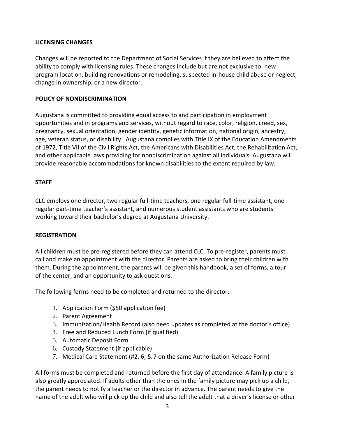#### **LICENSING CHANGES**

Changes will be reported to the Department of Social Services if they are believed to affect the ability to comply with licensing rules. These changes include but are not exclusive to: new program location, building renovations or remodeling, suspected in-house child abuse or neglect, change in ownership, or a new director.

#### **POLICY OF NONDISCRIMINATION**

Augustana is committed to providing equal access to and participation in employment opportunities and in programs and services, without regard to race, color, religion, creed, sex, pregnancy, sexual orientation, gender identity, genetic information, national origin, ancestry, age, veteran status, or disability. Augustana complies with Title IX of the Education Amendments of 1972, Title VII of the Civil Rights Act, the Americans with Disabilities Act, the Rehabilitation Act, and other applicable laws providing for nondiscrimination against all individuals. Augustana will provide reasonable accommodations for known disabilities to the extent required by law.

#### **STAFF**

CLC employs one director, two regular full-time teachers, one regular full-time assistant, one regular part-time teacher's assistant, and numerous student assistants who are students working toward their bachelor's degree at Augustana University.

#### **REGISTRATION**

All children must be pre-registered before they can attend CLC. To pre-register, parents must call and make an appointment with the director. Parents are asked to bring their children with them. During the appointment, the parents will be given this handbook, a set of forms, a tour of the center, and an opportunity to ask questions.

The following forms need to be completed and returned to the director:

- 1. Application Form (\$50 application fee)
- 2. Parent Agreement
- 3. Immunization/Health Record (also need updates as completed at the doctor's office)
- 4. Free and Reduced Lunch Form (if qualified)
- 5. Automatic Deposit Form
- 6. Custody Statement (if applicable)
- 7. Medical Care Statement (#2, 6, & 7 on the same Authorization Release Form)

All forms must be completed and returned before the first day of attendance. A family picture is also greatly appreciated. If adults other than the ones in the family picture may pick up a child, the parent needs to notify a teacher or the director in advance. The parent needs to give the name of the adult who will pick up the child and also tell the adult that a driver's license or other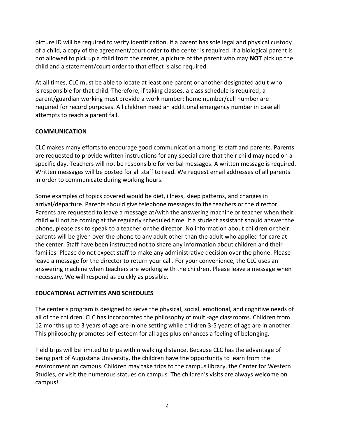picture ID will be required to verify identification. If a parent has sole legal and physical custody of a child, a copy of the agreement/court order to the center is required. If a biological parent is not allowed to pick up a child from the center, a picture of the parent who may **NOT** pick up the child and a statement/court order to that effect is also required.

At all times, CLC must be able to locate at least one parent or another designated adult who is responsible for that child. Therefore, if taking classes, a class schedule is required; a parent/guardian working must provide a work number; home number/cell number are required for record purposes. All children need an additional emergency number in case all attempts to reach a parent fail.

#### **COMMUNICATION**

CLC makes many efforts to encourage good communication among its staff and parents. Parents are requested to provide written instructions for any special care that their child may need on a specific day. Teachers will not be responsible for verbal messages. A written message is required. Written messages will be posted for all staff to read. We request email addresses of all parents in order to communicate during working hours.

Some examples of topics covered would be diet, illness, sleep patterns, and changes in arrival/departure. Parents should give telephone messages to the teachers or the director. Parents are requested to leave a message at/with the answering machine or teacher when their child will not be coming at the regularly scheduled time. If a student assistant should answer the phone, please ask to speak to a teacher or the director. No information about children or their parents will be given over the phone to any adult other than the adult who applied for care at the center. Staff have been instructed not to share any information about children and their families. Please do not expect staff to make any administrative decision over the phone. Please leave a message for the director to return your call. For your convenience, the CLC uses an answering machine when teachers are working with the children. Please leave a message when necessary. We will respond as quickly as possible.

#### **EDUCATIONAL ACTIVITIES AND SCHEDULES**

The center's program is designed to serve the physical, social, emotional, and cognitive needs of all of the children. CLC has incorporated the philosophy of multi-age classrooms. Children from 12 months up to 3 years of age are in one setting while children 3-5 years of age are in another. This philosophy promotes self-esteem for all ages plus enhances a feeling of belonging.

Field trips will be limited to trips within walking distance. Because CLC has the advantage of being part of Augustana University, the children have the opportunity to learn from the environment on campus. Children may take trips to the campus library, the Center for Western Studies, or visit the numerous statues on campus. The children's visits are always welcome on campus!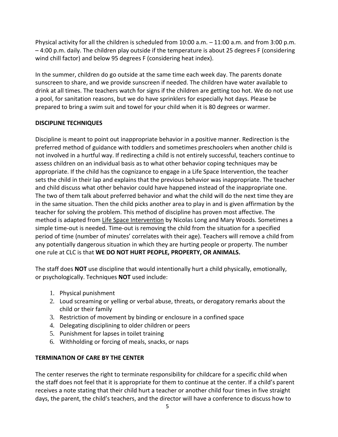Physical activity for all the children is scheduled from 10:00 a.m. – 11:00 a.m. and from 3:00 p.m. – 4:00 p.m. daily. The children play outside if the temperature is about 25 degrees F (considering wind chill factor) and below 95 degrees F (considering heat index).

In the summer, children do go outside at the same time each week day. The parents donate sunscreen to share, and we provide sunscreen if needed. The children have water available to drink at all times. The teachers watch for signs if the children are getting too hot. We do not use a pool, for sanitation reasons, but we do have sprinklers for especially hot days. Please be prepared to bring a swim suit and towel for your child when it is 80 degrees or warmer.

#### **DISCIPLINE TECHNIQUES**

Discipline is meant to point out inappropriate behavior in a positive manner. Redirection is the preferred method of guidance with toddlers and sometimes preschoolers when another child is not involved in a hurtful way. If redirecting a child is not entirely successful, teachers continue to assess children on an individual basis as to what other behavior coping techniques may be appropriate. If the child has the cognizance to engage in a Life Space Intervention, the teacher sets the child in their lap and explains that the previous behavior was inappropriate. The teacher and child discuss what other behavior could have happened instead of the inappropriate one. The two of them talk about preferred behavior and what the child will do the next time they are in the same situation. Then the child picks another area to play in and is given affirmation by the teacher for solving the problem. This method of discipline has proven most affective. The method is adapted from Life Space Intervention by Nicolas Long and Mary Woods. Sometimes a simple time-out is needed. Time-out is removing the child from the situation for a specified period of time (number of minutes' correlates with their age). Teachers will remove a child from any potentially dangerous situation in which they are hurting people or property. The number one rule at CLC is that **WE DO NOT HURT PEOPLE, PROPERTY, OR ANIMALS.**

The staff does **NOT** use discipline that would intentionally hurt a child physically, emotionally, or psychologically. Techniques **NOT** used include:

- 1. Physical punishment
- 2. Loud screaming or yelling or verbal abuse, threats, or derogatory remarks about the child or their family
- 3. Restriction of movement by binding or enclosure in a confined space
- 4. Delegating disciplining to older children or peers
- 5. Punishment for lapses in toilet training
- 6. Withholding or forcing of meals, snacks, or naps

#### **TERMINATION OF CARE BY THE CENTER**

The center reserves the right to terminate responsibility for childcare for a specific child when the staff does not feel that it is appropriate for them to continue at the center. If a child's parent receives a note stating that their child hurt a teacher or another child four times in five straight days, the parent, the child's teachers, and the director will have a conference to discuss how to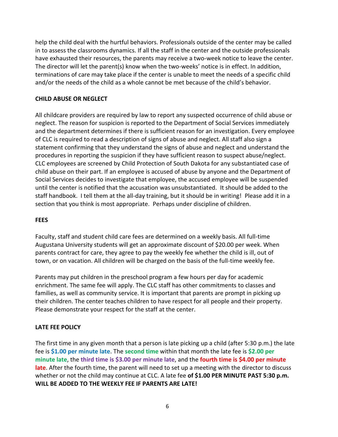help the child deal with the hurtful behaviors. Professionals outside of the center may be called in to assess the classrooms dynamics. If all the staff in the center and the outside professionals have exhausted their resources, the parents may receive a two-week notice to leave the center. The director will let the parent(s) know when the two-weeks' notice is in effect. In addition, terminations of care may take place if the center is unable to meet the needs of a specific child and/or the needs of the child as a whole cannot be met because of the child's behavior.

#### **CHILD ABUSE OR NEGLECT**

All childcare providers are required by law to report any suspected occurrence of child abuse or neglect. The reason for suspicion is reported to the Department of Social Services immediately and the department determines if there is sufficient reason for an investigation. Every employee of CLC is required to read a description of signs of abuse and neglect. All staff also sign a statement confirming that they understand the signs of abuse and neglect and understand the procedures in reporting the suspicion if they have sufficient reason to suspect abuse/neglect. CLC employees are screened by Child Protection of South Dakota for any substantiated case of child abuse on their part. If an employee is accused of abuse by anyone and the Department of Social Services decides to investigate that employee, the accused employee will be suspended until the center is notified that the accusation was unsubstantiated. It should be added to the staff handbook. I tell them at the all-day training, but it should be in writing! Please add it in a section that you think is most appropriate. Perhaps under discipline of children.

#### **FEES**

Faculty, staff and student child care fees are determined on a weekly basis. All full-time Augustana University students will get an approximate discount of \$20.00 per week. When parents contract for care, they agree to pay the weekly fee whether the child is ill, out of town, or on vacation. All children will be charged on the basis of the full-time weekly fee.

Parents may put children in the preschool program a few hours per day for academic enrichment. The same fee will apply. The CLC staff has other commitments to classes and families, as well as community service. It is important that parents are prompt in picking up their children. The center teaches children to have respect for all people and their property. Please demonstrate your respect for the staff at the center.

#### **LATE FEE POLICY**

The first time in any given month that a person is late picking up a child (after 5:30 p.m.) the late fee is **\$1.00 per minute late**. The **second time** within that month the late fee is **\$2.00 per minute late**, the **third time is \$3.00 per minute late**, and the **fourth time is \$4.00 per minute late**. After the fourth time, the parent will need to set up a meeting with the director to discuss whether or not the child may continue at CLC. A late fee **of \$1.00 PER MINUTE PAST 5:30 p.m. WILL BE ADDED TO THE WEEKLY FEE IF PARENTS ARE LATE!**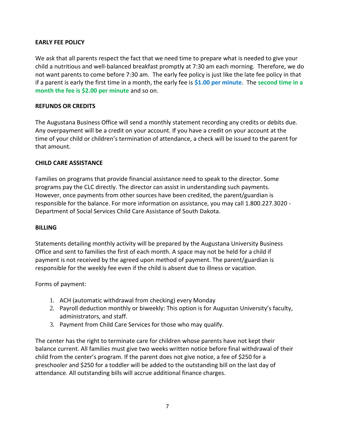#### **EARLY FEE POLICY**

We ask that all parents respect the fact that we need time to prepare what is needed to give your child a nutritious and well-balanced breakfast promptly at 7:30 am each morning. Therefore, we do not want parents to come before 7:30 am. The early fee policy is just like the late fee policy in that if a parent is early the first time in a month, the early fee is **\$1.00 per minute**. The **second time in a month the fee is \$2.00 per minute** and so on.

#### **REFUNDS OR CREDITS**

The Augustana Business Office will send a monthly statement recording any credits or debits due. Any overpayment will be a credit on your account. If you have a credit on your account at the time of your child or children's termination of attendance, a check will be issued to the parent for that amount.

#### **CHILD CARE ASSISTANCE**

Families on programs that provide financial assistance need to speak to the director. Some programs pay the CLC directly. The director can assist in understanding such payments. However, once payments from other sources have been credited, the parent/guardian is responsible for the balance. For more information on assistance, you may call 1.800.227.3020 - Department of Social Services Child Care Assistance of South Dakota.

#### **BILLING**

Statements detailing monthly activity will be prepared by the Augustana University Business Office and sent to families the first of each month. A space may not be held for a child if payment is not received by the agreed upon method of payment. The parent/guardian is responsible for the weekly fee even if the child is absent due to illness or vacation.

Forms of payment:

- 1. ACH (automatic withdrawal from checking) every Monday
- 2. Payroll deduction monthly or biweekly: This option is for Augustan University's faculty, administrators, and staff.
- 3. Payment from Child Care Services for those who may qualify.

The center has the right to terminate care for children whose parents have not kept their balance current. All families must give two weeks written notice before final withdrawal of their child from the center's program. If the parent does not give notice, a fee of \$250 for a preschooler and \$250 for a toddler will be added to the outstanding bill on the last day of attendance. All outstanding bills will accrue additional finance charges.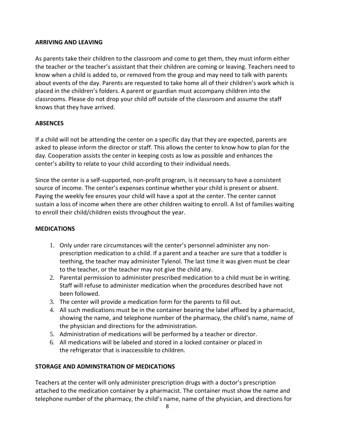#### **ARRIVING AND LEAVING**

As parents take their children to the classroom and come to get them, they must inform either the teacher or the teacher's assistant that their children are coming or leaving. Teachers need to know when a child is added to, or removed from the group and may need to talk with parents about events of the day. Parents are requested to take home all of their children's work which is placed in the children's folders. A parent or guardian must accompany children into the classrooms. Please do not drop your child off outside of the classroom and assume the staff knows that they have arrived.

#### **ABSENCES**

If a child will not be attending the center on a specific day that they are expected, parents are asked to please inform the director or staff. This allows the center to know how to plan for the day. Cooperation assists the center in keeping costs as low as possible and enhances the center's ability to relate to your child according to their individual needs.

Since the center is a self-supported, non-profit program, is it necessary to have a consistent source of income. The center's expenses continue whether your child is present or absent. Paying the weekly fee ensures your child will have a spot at the center. The center cannot sustain a loss of income when there are other children waiting to enroll. A list of families waiting to enroll their child/children exists throughout the year.

#### **MEDICATIONS**

- 1. Only under rare circumstances will the center's personnel administer any nonprescription medication to a child. If a parent and a teacher are sure that a toddler is teething, the teacher may administer Tylenol. The last time it was given must be clear to the teacher, or the teacher may not give the child any.
- 2. Parental permission to administer prescribed medication to a child must be in writing. Staff will refuse to administer medication when the procedures described have not been followed.
- 3. The center will provide a medication form for the parents to fill out.
- 4. All such medications must be in the container bearing the label affixed by a pharmacist, showing the name, and telephone number of the pharmacy, the child's name, name of the physician and directions for the administration.
- 5. Administration of medications will be performed by a teacher or director.
- 6. All medications will be labeled and stored in a locked container or placed in the refrigerator that is inaccessible to children.

#### **STORAGE AND ADMINSTRATION OF MEDICATIONS**

Teachers at the center will only administer prescription drugs with a doctor's prescription attached to the medication container by a pharmacist. The container must show the name and telephone number of the pharmacy, the child's name, name of the physician, and directions for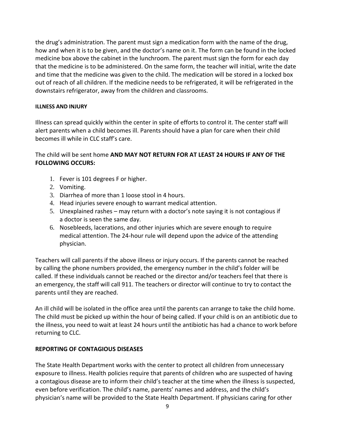the drug's administration. The parent must sign a medication form with the name of the drug, how and when it is to be given, and the doctor's name on it. The form can be found in the locked medicine box above the cabinet in the lunchroom. The parent must sign the form for each day that the medicine is to be administered. On the same form, the teacher will initial, write the date and time that the medicine was given to the child. The medication will be stored in a locked box out of reach of all children. If the medicine needs to be refrigerated, it will be refrigerated in the downstairs refrigerator, away from the children and classrooms.

#### **ILLNESS AND INJURY**

Illness can spread quickly within the center in spite of efforts to control it. The center staff will alert parents when a child becomes ill. Parents should have a plan for care when their child becomes ill while in CLC staff's care.

#### The child will be sent home **AND MAY NOT RETURN FOR AT LEAST 24 HOURS IF ANY OF THE FOLLOWING OCCURS:**

- 1. Fever is 101 degrees F or higher.
- 2. Vomiting.
- 3. Diarrhea of more than 1 loose stool in 4 hours.
- 4. Head injuries severe enough to warrant medical attention.
- 5. Unexplained rashes may return with a doctor's note saying it is not contagious if a doctor is seen the same day.
- 6. Nosebleeds, lacerations, and other injuries which are severe enough to require medical attention. The 24-hour rule will depend upon the advice of the attending physician.

Teachers will call parents if the above illness or injury occurs. If the parents cannot be reached by calling the phone numbers provided, the emergency number in the child's folder will be called. If these individuals cannot be reached or the director and/or teachers feel that there is an emergency, the staff will call 911. The teachers or director will continue to try to contact the parents until they are reached.

An ill child will be isolated in the office area until the parents can arrange to take the child home. The child must be picked up within the hour of being called. If your child is on an antibiotic due to the illness, you need to wait at least 24 hours until the antibiotic has had a chance to work before returning to CLC.

#### **REPORTING OF CONTAGIOUS DISEASES**

The State Health Department works with the center to protect all children from unnecessary exposure to illness. Health policies require that parents of children who are suspected of having a contagious disease are to inform their child's teacher at the time when the illness is suspected, even before verification. The child's name, parents' names and address, and the child's physician's name will be provided to the State Health Department. If physicians caring for other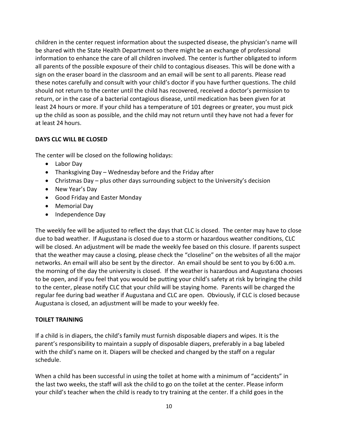children in the center request information about the suspected disease, the physician's name will be shared with the State Health Department so there might be an exchange of professional information to enhance the care of all children involved. The center is further obligated to inform all parents of the possible exposure of their child to contagious diseases. This will be done with a sign on the eraser board in the classroom and an email will be sent to all parents. Please read these notes carefully and consult with your child's doctor if you have further questions. The child should not return to the center until the child has recovered, received a doctor's permission to return, or in the case of a bacterial contagious disease, until medication has been given for at least 24 hours or more. If your child has a temperature of 101 degrees or greater, you must pick up the child as soon as possible, and the child may not return until they have not had a fever for at least 24 hours.

#### **DAYS CLC WILL BE CLOSED**

The center will be closed on the following holidays:

- Labor Day
- Thanksgiving Day Wednesday before and the Friday after
- Christmas Day plus other days surrounding subject to the University's decision
- New Year's Day
- Good Friday and Easter Monday
- Memorial Day
- Independence Day

The weekly fee will be adjusted to reflect the days that CLC is closed. The center may have to close due to bad weather. If Augustana is closed due to a storm or hazardous weather conditions, CLC will be closed. An adjustment will be made the weekly fee based on this closure. If parents suspect that the weather may cause a closing, please check the "closeline" on the websites of all the major networks. An email will also be sent by the director. An email should be sent to you by 6:00 a.m. the morning of the day the university is closed. If the weather is hazardous and Augustana chooses to be open, and if you feel that you would be putting your child's safety at risk by bringing the child to the center, please notify CLC that your child will be staying home. Parents will be charged the regular fee during bad weather if Augustana and CLC are open. Obviously, if CLC is closed because Augustana is closed, an adjustment will be made to your weekly fee.

#### **TOILET TRAINING**

If a child is in diapers, the child's family must furnish disposable diapers and wipes. It is the parent's responsibility to maintain a supply of disposable diapers, preferably in a bag labeled with the child's name on it. Diapers will be checked and changed by the staff on a regular schedule.

When a child has been successful in using the toilet at home with a minimum of "accidents" in the last two weeks, the staff will ask the child to go on the toilet at the center. Please inform your child's teacher when the child is ready to try training at the center. If a child goes in the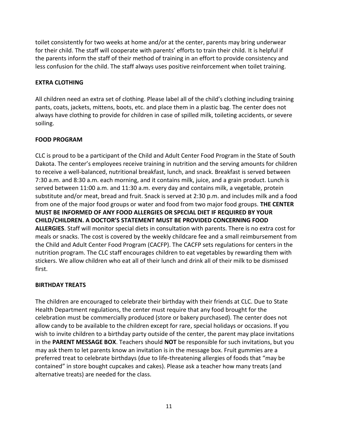toilet consistently for two weeks at home and/or at the center, parents may bring underwear for their child. The staff will cooperate with parents' efforts to train their child. It is helpful if the parents inform the staff of their method of training in an effort to provide consistency and less confusion for the child. The staff always uses positive reinforcement when toilet training.

#### **EXTRA CLOTHING**

All children need an extra set of clothing. Please label all of the child's clothing including training pants, coats, jackets, mittens, boots, etc. and place them in a plastic bag. The center does not always have clothing to provide for children in case of spilled milk, toileting accidents, or severe soiling.

#### **FOOD PROGRAM**

CLC is proud to be a participant of the Child and Adult Center Food Program in the State of South Dakota. The center's employees receive training in nutrition and the serving amounts for children to receive a well-balanced, nutritional breakfast, lunch, and snack. Breakfast is served between 7:30 a.m. and 8:30 a.m. each morning, and it contains milk, juice, and a grain product. Lunch is served between 11:00 a.m. and 11:30 a.m. every day and contains milk, a vegetable, protein substitute and/or meat, bread and fruit. Snack is served at 2:30 p.m. and includes milk and a food from one of the major food groups or water and food from two major food groups. **THE CENTER MUST BE INFORMED OF ANY FOOD ALLERGIES OR SPECIAL DIET IF REQUIRED BY YOUR CHILD/CHILDREN. A DOCTOR'S STATEMENT MUST BE PROVIDED CONCERNING FOOD ALLERGIES**. Staff will monitor special diets in consultation with parents. There is no extra cost for meals or snacks. The cost is covered by the weekly childcare fee and a small reimbursement from the Child and Adult Center Food Program (CACFP). The CACFP sets regulations for centers in the nutrition program. The CLC staff encourages children to eat vegetables by rewarding them with stickers. We allow children who eat all of their lunch and drink all of their milk to be dismissed first.

#### **BIRTHDAY TREATS**

The children are encouraged to celebrate their birthday with their friends at CLC. Due to State Health Department regulations, the center must require that any food brought for the celebration must be commercially produced (store or bakery purchased). The center does not allow candy to be available to the children except for rare, special holidays or occasions. If you wish to invite children to a birthday party outside of the center, the parent may place invitations in the **PARENT MESSAGE BOX**. Teachers should **NOT** be responsible for such invitations, but you may ask them to let parents know an invitation is in the message box. Fruit gummies are a preferred treat to celebrate birthdays (due to life-threatening allergies of foods that "may be contained" in store bought cupcakes and cakes). Please ask a teacher how many treats (and alternative treats) are needed for the class.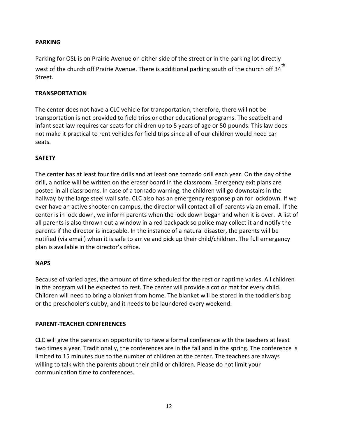#### **PARKING**

Parking for OSL is on Prairie Avenue on either side of the street or in the parking lot directly west of the church off Prairie Avenue. There is additional parking south of the church off 34 $^{\rm th}$ Street.

#### **TRANSPORTATION**

The center does not have a CLC vehicle for transportation, therefore, there will not be transportation is not provided to field trips or other educational programs. The seatbelt and infant seat law requires car seats for children up to 5 years of age or 50 pounds. This law does not make it practical to rent vehicles for field trips since all of our children would need car seats.

#### **SAFETY**

The center has at least four fire drills and at least one tornado drill each year. On the day of the drill, a notice will be written on the eraser board in the classroom. Emergency exit plans are posted in all classrooms. In case of a tornado warning, the children will go downstairs in the hallway by the large steel wall safe. CLC also has an emergency response plan for lockdown. If we ever have an active shooter on campus, the director will contact all of parents via an email. If the center is in lock down, we inform parents when the lock down began and when it is over. A list of all parents is also thrown out a window in a red backpack so police may collect it and notify the parents if the director is incapable. In the instance of a natural disaster, the parents will be notified (via email) when it is safe to arrive and pick up their child/children. The full emergency plan is available in the director's office.

#### **NAPS**

Because of varied ages, the amount of time scheduled for the rest or naptime varies. All children in the program will be expected to rest. The center will provide a cot or mat for every child. Children will need to bring a blanket from home. The blanket will be stored in the toddler's bag or the preschooler's cubby, and it needs to be laundered every weekend.

#### **PARENT-TEACHER CONFERENCES**

CLC will give the parents an opportunity to have a formal conference with the teachers at least two times a year. Traditionally, the conferences are in the fall and in the spring. The conference is limited to 15 minutes due to the number of children at the center. The teachers are always willing to talk with the parents about their child or children. Please do not limit your communication time to conferences.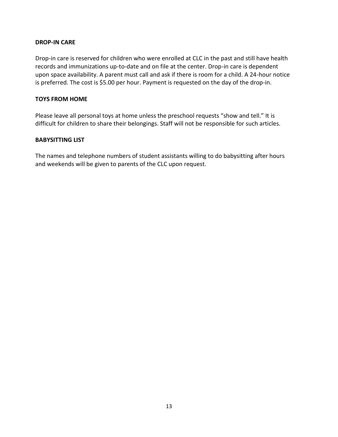#### **DROP-IN CARE**

Drop-in care is reserved for children who were enrolled at CLC in the past and still have health records and immunizations up-to-date and on file at the center. Drop-in care is dependent upon space availability. A parent must call and ask if there is room for a child. A 24-hour notice is preferred. The cost is \$5.00 per hour. Payment is requested on the day of the drop-in.

#### **TOYS FROM HOME**

Please leave all personal toys at home unless the preschool requests "show and tell." It is difficult for children to share their belongings. Staff will not be responsible for such articles.

#### **BABYSITTING LIST**

The names and telephone numbers of student assistants willing to do babysitting after hours and weekends will be given to parents of the CLC upon request.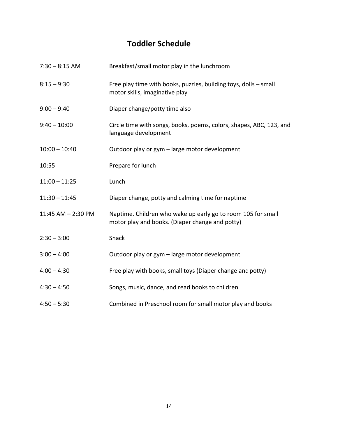### **Toddler Schedule**

| $7:30 - 8:15$ AM   | Breakfast/small motor play in the lunchroom                                                                     |
|--------------------|-----------------------------------------------------------------------------------------------------------------|
| $8:15 - 9:30$      | Free play time with books, puzzles, building toys, dolls - small<br>motor skills, imaginative play              |
| $9:00 - 9:40$      | Diaper change/potty time also                                                                                   |
| $9:40 - 10:00$     | Circle time with songs, books, poems, colors, shapes, ABC, 123, and<br>language development                     |
| $10:00 - 10:40$    | Outdoor play or gym - large motor development                                                                   |
| 10:55              | Prepare for lunch                                                                                               |
| $11:00 - 11:25$    | Lunch                                                                                                           |
| $11:30 - 11:45$    | Diaper change, potty and calming time for naptime                                                               |
| 11:45 AM - 2:30 PM | Naptime. Children who wake up early go to room 105 for small<br>motor play and books. (Diaper change and potty) |
| $2:30 - 3:00$      | Snack                                                                                                           |
| $3:00 - 4:00$      | Outdoor play or gym - large motor development                                                                   |
| $4:00 - 4:30$      | Free play with books, small toys (Diaper change and potty)                                                      |
| $4:30 - 4:50$      | Songs, music, dance, and read books to children                                                                 |
| $4:50 - 5:30$      | Combined in Preschool room for small motor play and books                                                       |